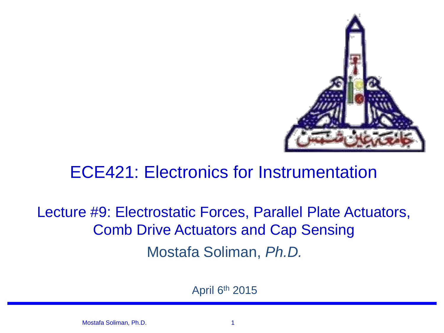

### ECE421: Electronics for Instrumentation

### Mostafa Soliman, *Ph.D.* Lecture #9: Electrostatic Forces, Parallel Plate Actuators, Comb Drive Actuators and Cap Sensing

April 6th 2015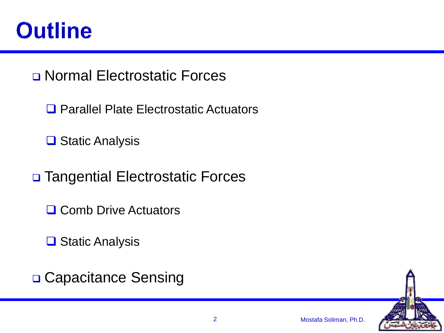

Normal Electrostatic Forces

**□ Parallel Plate Electrostatic Actuators** 

**□ Static Analysis** 

□ Tangential Electrostatic Forces

**□ Comb Drive Actuators** 

**□ Static Analysis** 

□ Capacitance Sensing

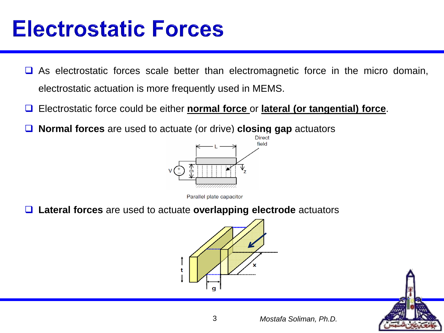- $\Box$  As electrostatic forces scale better than electromagnetic force in the micro domain, electrostatic actuation is more frequently used in MEMS.
- Electrostatic force could be either **normal force** or **lateral (or tangential) force**.
- **Normal forces** are used to actuate (or drive) **closing gap** actuators



Parallel plate capacitor

**Lateral forces** are used to actuate **overlapping electrode** actuators



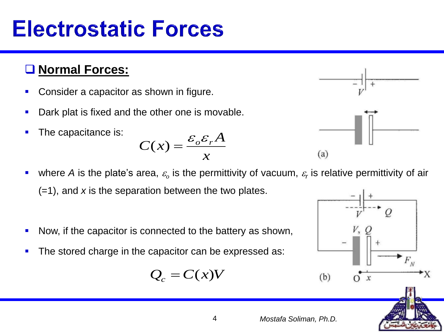### **Normal Forces:**

- Consider a capacitor as shown in figure.
- **Dark plat is fixed and the other one is movable.**
- The capacitance is:





- Now, if the capacitor is connected to the battery as shown,
- The stored charge in the capacitor can be expressed as:

$$
Q_c = C(x)V
$$







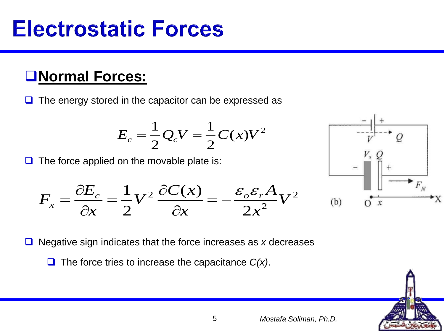### **Normal Forces:**

 $\Box$  The energy stored in the capacitor can be expressed as

$$
E_c = \frac{1}{2} Q_c V = \frac{1}{2} C(x) V^2
$$

 $\Box$  The force applied on the movable plate is:





**□** Negative sign indicates that the force increases as *x* decreases

**□** The force tries to increase the capacitance *C(x)*.

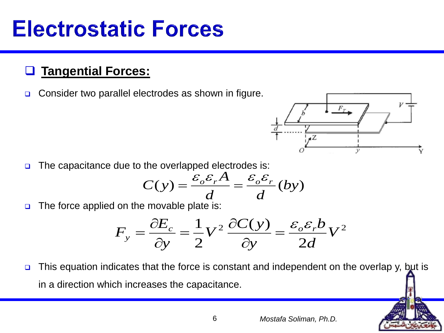### **Tangential Forces:**

□ Consider two parallel electrodes as shown in figure.



 $\Box$  The capacitance due to the overlapped electrodes is:

$$
C(y) = \frac{\varepsilon_o \varepsilon_r A}{d} = \frac{\varepsilon_o \varepsilon_r}{d} (by)
$$

 $\Box$  The force applied on the movable plate is:

$$
F_y = \frac{\partial E_c}{\partial y} = \frac{1}{2} V^2 \frac{\partial C(y)}{\partial y} = \frac{\varepsilon_o \varepsilon_r b}{2d} V^2
$$

 $\Box$  This equation indicates that the force is constant and independent on the overlap y, but is in a direction which increases the capacitance.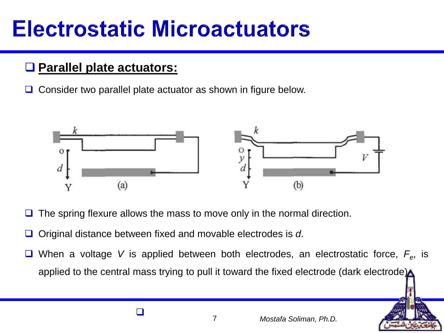## **Electrostatic Microactuators**

### **Parallel plate actuators:**

 $\Box$  Consider two parallel plate actuator as shown in figure below.



- The spring flexure allows the mass to move only in the normal direction.
- □ Original distance between fixed and movable electrodes is *d*.
- When a voltage *V* is applied between both electrodes, an electrostatic force, *F<sup>e</sup>* , is applied to the central mass trying to pull it toward the fixed electrode (dark electrode)

 $\Box$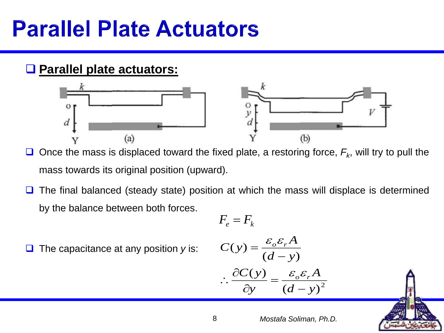### **Parallel plate actuators:**



 $\Box$  Once the mass is displaced toward the fixed plate, a restoring force,  $F_k$ , will try to pull the mass towards its original position (upward).

 $\Box$  The final balanced (steady state) position at which the mass will displace is determined by the balance between both forces.

$$
F_e = F_k
$$

The capacitance at any position *y* is:

$$
C(y) = \frac{\varepsilon_o \varepsilon_r A}{(d - y)}
$$

$$
\therefore \frac{\partial C(y)}{\partial y} = \frac{\varepsilon_o \varepsilon_r A}{\left(d - y\right)^2}
$$

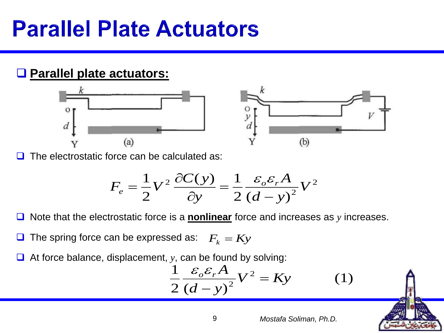### **Parallel plate actuators:**





The electrostatic force can be calculated as:

$$
F_e = \frac{1}{2}V^2 \frac{\partial C(y)}{\partial y} = \frac{1}{2} \frac{\varepsilon_o \varepsilon_r A}{(d-y)^2} V^2
$$

Note that the electrostatic force is a **nonlinear** force and increases as *y* increases.

 $\Box$  The spring force can be expressed as:  $F_k = Ky$ 

At force balance, displacement, *y*, can be found by solving:

$$
\frac{1}{2}\frac{\varepsilon_o \varepsilon_r A}{\left(d-y\right)^2} V^2 = Ky \tag{1}
$$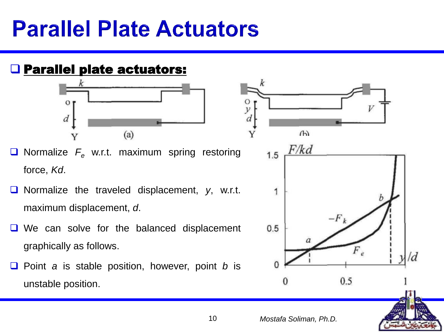### **Q Parallel plate actuators:**



- **O** Normalize  $F_e$  w.r.t. maximum spring restoring force, *Kd*.
- Normalize the traveled displacement, y, w.r.t. maximum displacement, *d*.
- We can solve for the balanced displacement graphically as follows.
- Point *a* is stable position, however, point *b* is unstable position.

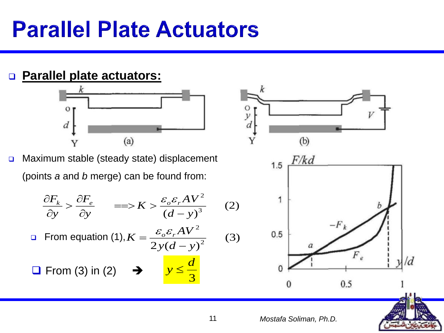### **Parallel plate actuators:**



□ Maximum stable (steady state) displacement (points *a* and *b* merge) can be found from:

$$
\frac{\partial F_k}{\partial y} > \frac{\partial F_e}{\partial y} \qquad \Longrightarrow K > \frac{\varepsilon_o \varepsilon_r A V^2}{\left(d - y\right)^3} \tag{2}
$$

**From equation (1),**  $2y(d-y)^2$ 2 *y d y*  $K = \frac{\varepsilon_{o}\varepsilon_{r}AV}{\varepsilon}$   $=$  ${\cal E}$  .  ${\cal E}$ 

 $\Box$  From (3) in (2)





3

*d*

 $y \leq$ 

(3)

О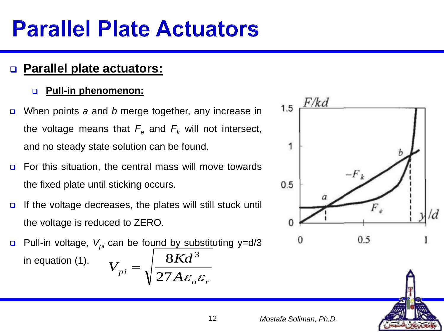### **Parallel plate actuators:**

#### **Pull-in phenomenon:**

- When points *a* and *b* merge together, any increase in the voltage means that  $F_e$  and  $F_k$  will not intersect, and no steady state solution can be found.
- **D** For this situation, the central mass will move towards the fixed plate until sticking occurs.
- $\Box$  If the voltage decreases, the plates will still stuck until the voltage is reduced to ZERO.
- □ Pull-in voltage,  $V_{pi}$  can be found by substituting y=d/3 in equation (1).  $\int$ <sup>*pi*</sup>  $\int$  27*A* $\varepsilon$ <sub>o</sub> $\varepsilon$ <sub>r</sub>  $V_{\mu\nu} = \left| \frac{8Kd}{\mu} \right|$  $27A\varepsilon$   $\varepsilon$  $8Kd^{\,3}$  $=$



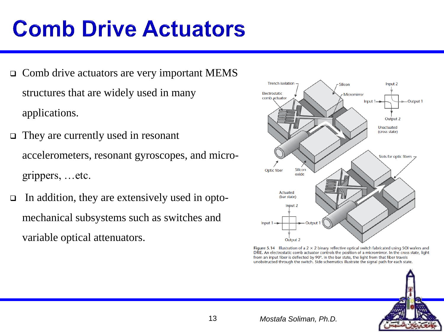- Comb drive actuators are very important MEMS structures that are widely used in many applications.
- $\Box$  They are currently used in resonant accelerometers, resonant gyroscopes, and microgrippers, …etc.
- In addition, they are extensively used in optomechanical subsystems such as switches and variable optical attenuators.



Figure 5.14 Illustration of a  $2 \times 2$  binary reflective optical switch fabricated using SOI wafers and DRIE. An electrostatic comb actuator controls the position of a micromirror. In the cross state, light from an input fiber is deflected by 90°. In the bar state, the light from that fiber travels unobstructed through the switch. Side schematics illustrate the signal path for each state.

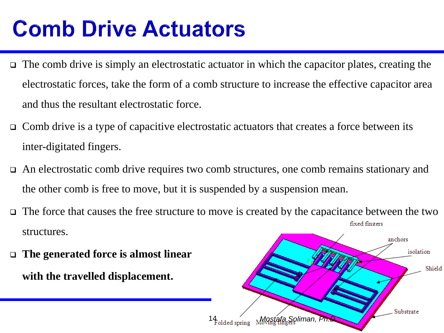- $\Box$  The comb drive is simply an electrostatic actuator in which the capacitor plates, creating the electrostatic forces, take the form of a comb structure to increase the effective capacitor area and thus the resultant electrostatic force.
- $\Box$  Comb drive is a type of capacitive electrostatic actuators that creates a force between its inter-digitated fingers.
- An electrostatic comb drive requires two comb structures, one comb remains stationary and the other comb is free to move, but it is suspended by a suspension mean.
- The force that causes the free structure to move is created by the capacitance between the two fixed fingers structures.
- **The generated force is almost linear with the travelled displacement.**

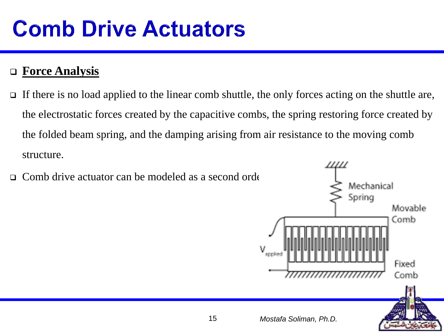### **Force Analysis**

- If there is no load applied to the linear comb shuttle, the only forces acting on the shuttle are, the electrostatic forces created by the capacitive combs, the spring restoring force created by the folded beam spring, and the damping arising from air resistance to the moving comb structure.
- $\Box$  Comb drive actuator can be modeled as a second order

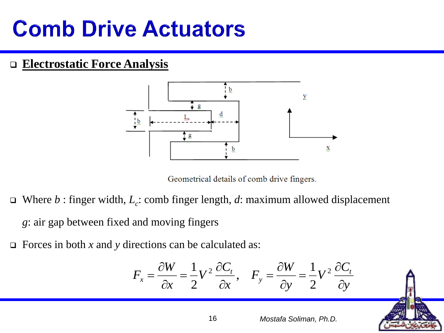#### **Electrostatic Force Analysis**



Geometrical details of comb drive fingers.

- Where *b* : finger width, *L<sup>c</sup>* : comb finger length, *d*: maximum allowed displacement *g*: air gap between fixed and moving fingers
- Forces in both *x* and *y* directions can be calculated as:

$$
F_x = \frac{\partial W}{\partial x} = \frac{1}{2} V^2 \frac{\partial C_t}{\partial x}, \quad F_y = \frac{\partial W}{\partial y} = \frac{1}{2} V^2 \frac{\partial C_t}{\partial y}
$$

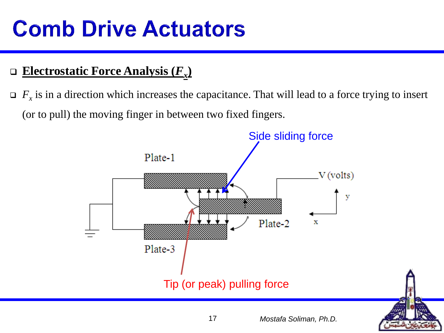### **Electrostatic Force Analysis (***F<sup>x</sup>* **)**

 $\Box$  *F<sub>x</sub>* is in a direction which increases the capacitance. That will lead to a force trying to insert (or to pull) the moving finger in between two fixed fingers.



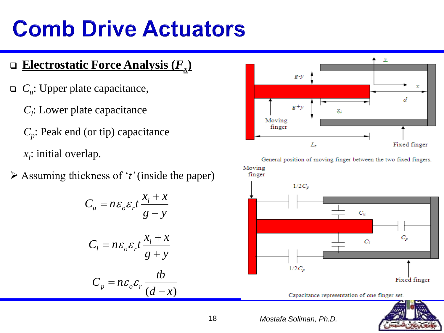### **Electrostatic Force Analysis (***F<sup>x</sup>* **)**

- $\Box$  *C*<sub>*u*</sub>: Upper plate capacitance,
	- *Cl* : Lower plate capacitance

*Cp* : Peak end (or tip) capacitance *xi* : initial overlap.

Assuming thickness of '*t'* (inside the paper)

$$
C_{u} = n\varepsilon_{o}\varepsilon_{r}t \frac{x_{i} + x}{g - y}
$$
  
\n
$$
C_{l} = n\varepsilon_{o}\varepsilon_{r}t \frac{x_{i} + x}{g + y}
$$
  
\n
$$
C_{p} = n\varepsilon_{o}\varepsilon_{r} \frac{tb}{(d - x)}
$$



General position of moving finger between the two fixed fingers. Moving finger



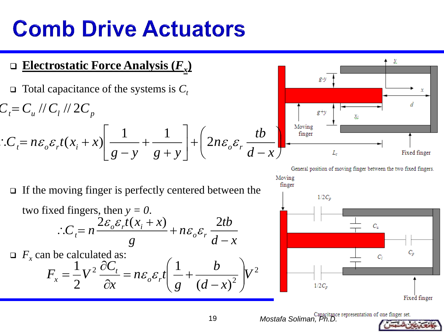- **Electrostatic Force Analysis (***F<sup>x</sup>* **)**
- $\Box$  Total capacitance of the systems is  $C_t$

*F<sup>x</sup>*

$$
C_{t} = C_{u} / C_{l} / 2C_{p}
$$
  
\n
$$
\therefore C_{t} = n\varepsilon_{o}\varepsilon_{r}t(x_{i} + x)\left[\frac{1}{g - y} + \frac{1}{g + y}\right] + \left(2n\varepsilon_{o}\varepsilon_{r}\frac{tb}{d - x}\right)
$$

General position of moving finger between the two fixed fingers.

x

x

 $\Box$  If the moving finger is perfectly centered between the

two fixed fingers, then 
$$
y = 0
$$
.  
\n
$$
\therefore C_t = n \frac{2\varepsilon_o \varepsilon_r t(x_i + x)}{g} + n\varepsilon_o \varepsilon_r \frac{2tb}{d-x}
$$
\n
$$
F_x \text{ can be calculated as:} \qquad \qquad \int_{\mathbf{r} \cdot \mathbf{r}^2} \frac{1}{\partial C_t} \left( \frac{1}{1 + b} \right) \Big|_{\mathbf{r} \cdot \mathbf{r}^2} \qquad \qquad \int_{\mathbf{r} \cdot \mathbf{r}^2} \frac{1}{\partial C_t} \left( \frac{1}{1 + b} \right) \Big|_{\mathbf{r} \cdot \mathbf{r}^2} \qquad \qquad \int_{\mathbf{r} \cdot \mathbf{r}^2} \frac{1}{\partial C_t} \left( \frac{1}{1 + b} \right) \Big|_{\mathbf{r} \cdot \mathbf{r}^2} \qquad \qquad \int_{\mathbf{r} \cdot \mathbf{r}^2} \frac{1}{\partial C_t} \left( \frac{1}{1 + b} \right) \Big|_{\mathbf{r} \cdot \mathbf{r}^2} \qquad \qquad \int_{\mathbf{r} \cdot \mathbf{r}^2} \frac{1}{\partial C_t} \left( \frac{1}{1 + b} \right) \Big|_{\mathbf{r} \cdot \mathbf{r}^2} \qquad \qquad \int_{\mathbf{r} \cdot \mathbf{r}^2} \frac{1}{\partial C_t} \left( \frac{1}{1 + b} \right) \Big|_{\mathbf{r} \cdot \mathbf{r}^2} \qquad \qquad \int_{\mathbf{r} \cdot \mathbf{r}^2} \frac{1}{\partial C_t} \left( \frac{1}{1 + b} \right) \Big|_{\mathbf{r} \cdot \mathbf{r}^2} \qquad \qquad \int_{\mathbf{r} \cdot \mathbf{r}^2} \frac{1}{\partial C_t} \left( \frac{1}{1 + b} \right) \Big|_{\mathbf{r} \cdot \mathbf{r}^2} \qquad \qquad \int_{\mathbf{r} \cdot \mathbf{r}^2} \frac{1}{\partial C_t} \left( \frac{1}{1 + b} \right) \Big|_{\mathbf{r} \cdot \mathbf{r}^2} \frac{1}{\partial C_t} \left( \frac{1}{1 + b} \right)
$$

$$
F_x = \frac{1}{2}V^2 \frac{\partial C_t}{\partial x} = n\varepsilon_o \varepsilon_r t \left( \frac{1}{g} + \frac{\partial}{(d-x)^2} \right) V^2
$$



19 *Mostafa Soliman, Ph.D.*

 $g y$ 



 $\sim$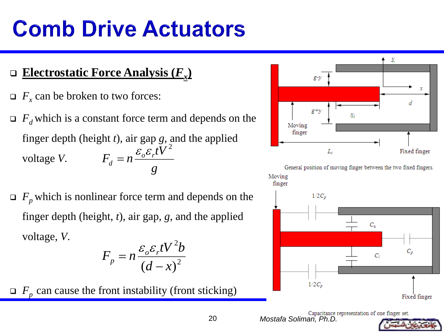- **Electrostatic Force Analysis (***F<sup>x</sup>* **)**
- $\Box$  *F*<sub>*x*</sub> can be broken to two forces:
- $\Box$  *F*<sup>*d*</sup> which is a constant force term and depends on the finger depth (height *t*), air gap *g*, and the applied voltage *V*. *g*  $F_{i} = n \frac{\varepsilon_{o} \varepsilon_{r} tV}{r}$ *d*  $\varepsilon \varepsilon tV^2$  $=$
- $\Box$  *F*<sub>*p*</sub> which is nonlinear force term and depends on the finger depth (height, *t*), air gap, *g*, and the applied voltage, *V*.  $\Delta$

$$
F_p = n \frac{\varepsilon_o \varepsilon_r t V^2 b}{\left(d - x\right)^2}
$$

 $F_p$  can cause the front instability (front sticking)





20 *Mostafa Soliman, Ph.D.*

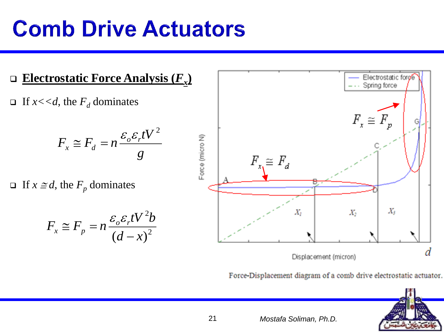

Force-Displacement diagram of a comb drive electrostatic actuator.

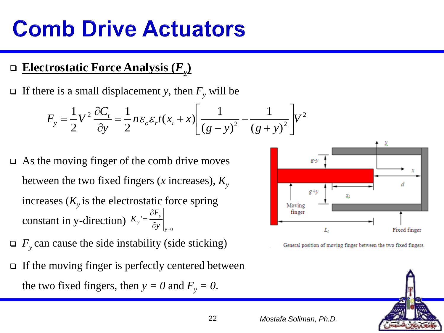### **Electrostatic Force Analysis (***F<sup>y</sup>* **)**

If there is a small displacement *y*, then  $F_v$  will be

$$
F_{y} = \frac{1}{2}V^{2} \frac{\partial C_{t}}{\partial y} = \frac{1}{2} n \varepsilon_{o} \varepsilon_{r} t (x_{i} + x) \left[ \frac{1}{(g - y)^{2}} - \frac{1}{(g + y)^{2}} \right] V^{2}
$$

- $\Box$  As the moving finger of the comb drive moves between the two fixed fingers (*x* increases),  $K_v$ increases  $(K_y)$  is the electrostatic force spring constant in y-direction)  $K_y = \frac{y}{\partial y}\Big|_{y=0}$  $\bar{c}$  =  $\frac{1}{\partial}$ д  $=\frac{y}{y}$ *y y*  $\partial y$ *F K*
- $\Box$  *F*<sub>*y*</sub> can cause the side instability (side sticking)
- $\Box$  If the moving finger is perfectly centered between the two fixed fingers, then  $y = 0$  and  $F_y = 0$ .



General position of moving finger between the two fixed fingers.

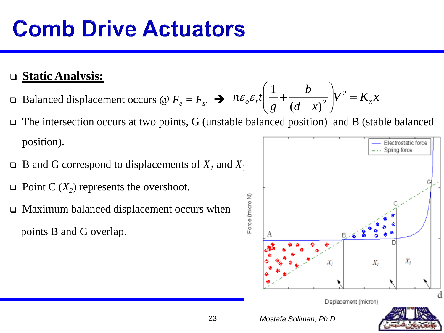### **Static Analysis:**

- **Example 3** Balanced displacement occurs @  $F_e = F_s$ ,  $\rightarrow$   $n \varepsilon_o \varepsilon_r t \frac{1}{g} + \frac{\varepsilon_o}{(d-r)^2} V^2 = K_x x$  $d - x$ *b g*  $n\varepsilon_o \varepsilon_r t \frac{1}{a} + \frac{v}{(d-r)^2} V^2 = K_x$  $\int$  $\left.\rule{0pt}{10pt}\right)$  $\overline{\phantom{a}}$  $\setminus$  $\bigg($ - $+\frac{v}{\sqrt{2}}$   $V^2$  $(d-x)^2$ 1  ${\cal E}$  .  ${\cal E}$
- The intersection occurs at two points, G (unstable balanced position) and B (stable balanced position). Electrostatic force
- $\Box$  B and G correspond to displacements of  $X_i$  and  $X_i$
- $\Box$  Point C ( $X_2$ ) represents the overshoot.
- Maximum balanced displacement occurs when points B and G overlap.

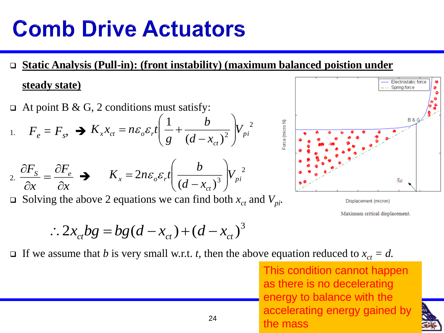**Static Analysis (Pull-in): (front instability) (maximum balanced poistion under steady state)**

╲

 $\Box$  At point B & G, 2 conditions must satisfy:

1. 
$$
F_e = F_s
$$
,  $\rightarrow K_x x_{ct} = n \varepsilon_o \varepsilon_r t \left( \frac{1}{g} + \frac{b}{(d - x_{ct})^2} \right) V_{pi}^2$ 

$$
2. \frac{\partial F_s}{\partial x} = \frac{\partial F_e}{\partial x} \implies K_x = 2n\varepsilon_o \varepsilon_r t \left(\frac{b}{(d - x_{ct})^3}\right) V_{pi}^2
$$

Solving the above 2 equations we can find both  $x_{ct}$  and  $V_{pi}$ .



Displacement (micron)

Maximum critical displacement.

$$
\therefore 2x_{ct}bg = bg(d - x_{ct}) + (d - x_{ct})^3
$$

If we assume that *b* is very small w.r.t. *t*, then the above equation reduced to  $x_{ct} = d$ .

<sup>24</sup> *Mostafa both the mass* This condition cannot happen as there is no decelerating energy to balance with the accelerating energy gained by

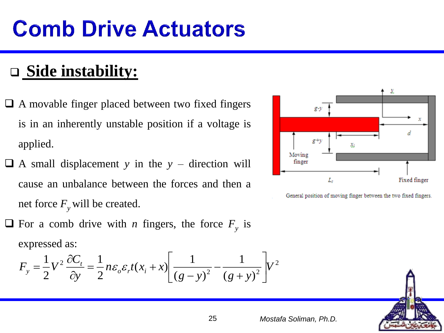### **Side instability:**

- A movable finger placed between two fixed fingers is in an inherently unstable position if a voltage is applied.
- $\Box$  A small displacement *y* in the *y* direction will cause an unbalance between the forces and then a net force  $F_\nu$  will be created.
- $\Box$  For a comb drive with *n* fingers, the force  $F_y$  is expressed as:

$$
F_{y} = \frac{1}{2}V^{2} \frac{\partial C_{t}}{\partial y} = \frac{1}{2} n \varepsilon_{o} \varepsilon_{r} t (x_{i} + x) \left[ \frac{1}{(g - y)^{2}} - \frac{1}{(g + y)^{2}} \right] V^{2}
$$



General position of moving finger between the two fixed fingers.

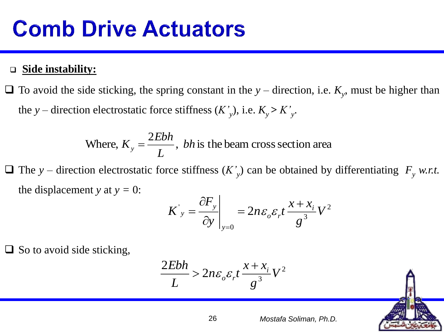#### **Side instability:**

 $\Box$  To avoid the side sticking, the spring constant in the *y* – direction, i.e.  $K_y$ , must be higher than the *y* – direction electrostatic force stiffness  $(K'_{y})$ , i.e.  $K_{y} > K'_{y}$ .

> ,  $\,bh$  is the beam cross section area 2 Where,  $K_v = \frac{2.25 \text{ m}}{2}$ , *bh*  $K_y = \frac{2Ebh}{L}$ Ξ

 $\Box$  The *y* – direction electrostatic force stiffness  $(K'_y)$  can be obtained by differentiating  $F_y$  *w.r.t.* the displacement *y* at  $y = 0$ :

$$
K'_{y} = \frac{\partial F_{y}}{\partial y}\Big|_{y=0} = 2n\varepsilon_{o}\varepsilon_{r}t \frac{x + x_{i}}{g^{3}}V^{2}
$$

 $\Box$  So to avoid side sticking,

$$
\frac{2Ebh}{L} > 2n\varepsilon_o \varepsilon_r t \frac{x + x_i}{g^3} V^2
$$

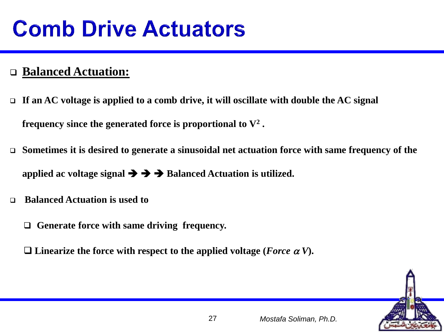### **Balanced Actuation:**

 **If an AC voltage is applied to a comb drive, it will oscillate with double the AC signal frequency since the generated force is proportional to V<sup>2</sup> .**

- **Sometimes it is desired to generate a sinusoidal net actuation force with same frequency of the**  applied ac voltage signal  $\rightarrow \rightarrow \rightarrow$  Balanced Actuation is utilized.
- **Balanced Actuation is used to** 
	- **Generate force with same driving frequency.**

 $\square$  Linearize the force with respect to the applied voltage (*Force*  $\alpha V$ ).

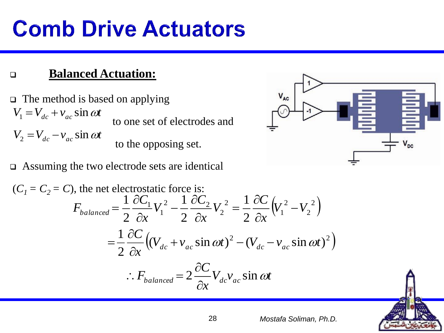### **Balanced Actuation:**

 $\Box$  The method is based on applying to one set of electrodes and to the opposing set.  $V_1 = V_{dc} + v_{ac} \sin \omega t$  $V_2 = V_{dc} - v_{ac} \sin \omega t$ 

#### Assuming the two electrode sets are identical

$$
(C_1 = C_2 = C), \text{ the net electrostatic force is:}
$$
\n
$$
F_{balanced} = \frac{1}{2} \frac{\partial C_1}{\partial x} V_1^2 - \frac{1}{2} \frac{\partial C_2}{\partial x} V_2^2 = \frac{1}{2} \frac{\partial C}{\partial x} \left( V_1^2 - V_2^2 \right)
$$
\n
$$
= \frac{1}{2} \frac{\partial C}{\partial x} \left( (V_{dc} + v_{ac} \sin \omega t)^2 - (V_{dc} - v_{ac} \sin \omega t)^2 \right)
$$
\n
$$
\therefore F_{balanced} = 2 \frac{\partial C}{\partial x} V_{dc} v_{ac} \sin \omega t
$$



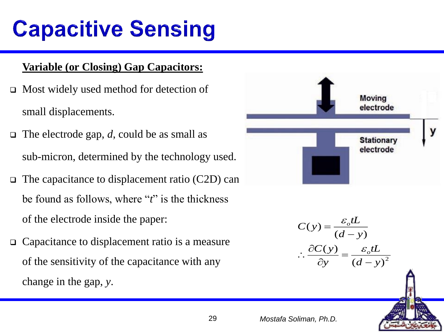# **Capacitive Sensing**

#### **Variable (or Closing) Gap Capacitors:**

- Most widely used method for detection of small displacements.
- $\Box$  The electrode gap, *d*, could be as small as sub-micron, determined by the technology used.
- $\Box$  The capacitance to displacement ratio (C2D) can be found as follows, where "*t*" is the thickness of the electrode inside the paper:
- Capacitance to displacement ratio is a measure of the sensitivity of the capacitance with any change in the gap, *y*.



$$
C(y) = \frac{\varepsilon_o tL}{(d-y)}
$$

$$
\therefore \frac{\partial C(y)}{\partial y} = \frac{\varepsilon_o tL}{(d-y)^2}
$$